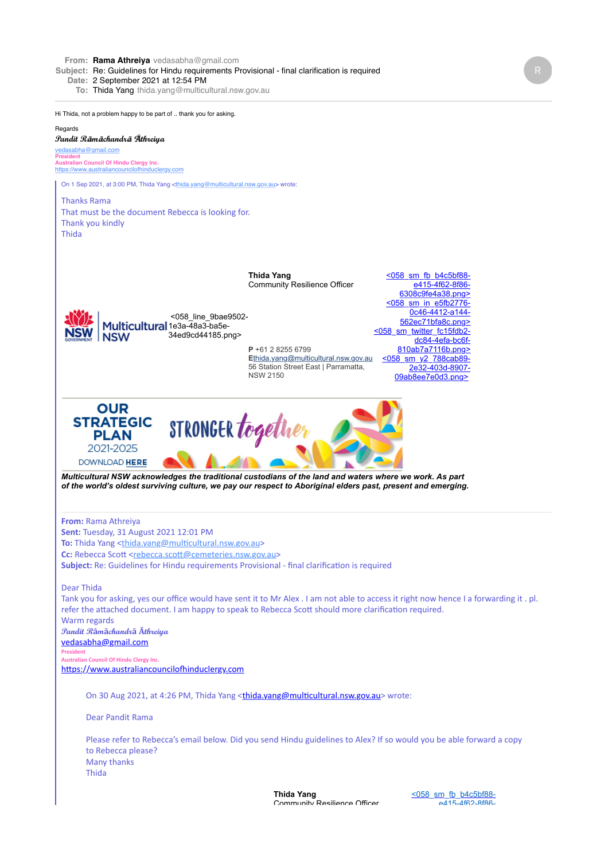